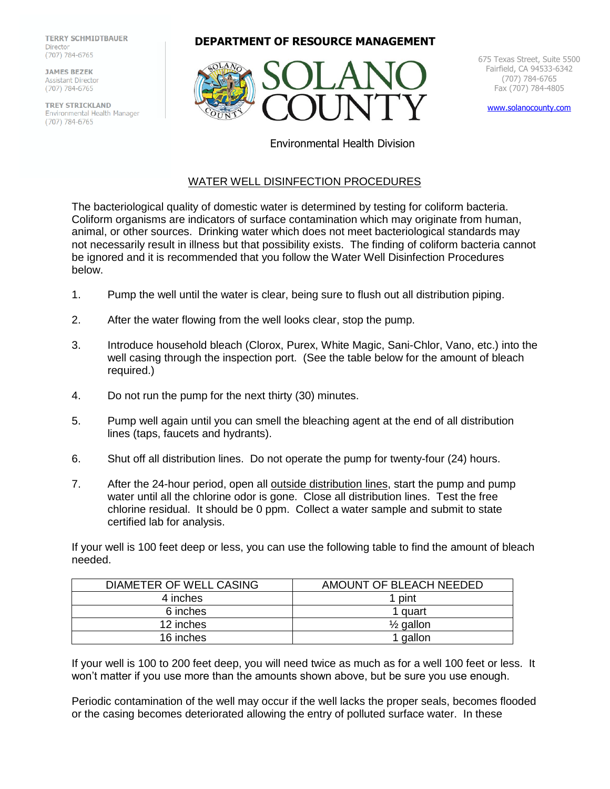**TERRY SCHMIDTBAUER Director** (707) 784-6765

**JAMES BEZEK** Assistant Director (707) 784-6765

**TREY STRICKLAND**<br>Environmental Health Manager (707) 784-6765





675 Texas Street, Suite 5500 Fairfield, CA 94533-6342 (707) 784-6765 Fax (707) 784-4805

[www.solanocounty.com](http://www.solanocounty.com/)

Environmental Health Division

## WATER WELL DISINFECTION PROCEDURES

The bacteriological quality of domestic water is determined by testing for coliform bacteria. Coliform organisms are indicators of surface contamination which may originate from human, animal, or other sources. Drinking water which does not meet bacteriological standards may not necessarily result in illness but that possibility exists. The finding of coliform bacteria cannot be ignored and it is recommended that you follow the Water Well Disinfection Procedures below.

- 1. Pump the well until the water is clear, being sure to flush out all distribution piping.
- 2. After the water flowing from the well looks clear, stop the pump.
- 3. Introduce household bleach (Clorox, Purex, White Magic, Sani-Chlor, Vano, etc.) into the well casing through the inspection port. (See the table below for the amount of bleach required.)
- 4. Do not run the pump for the next thirty (30) minutes.
- 5. Pump well again until you can smell the bleaching agent at the end of all distribution lines (taps, faucets and hydrants).
- 6. Shut off all distribution lines. Do not operate the pump for twenty-four (24) hours.
- 7. After the 24-hour period, open all outside distribution lines, start the pump and pump water until all the chlorine odor is gone. Close all distribution lines. Test the free chlorine residual. It should be 0 ppm. Collect a water sample and submit to state certified lab for analysis.

If your well is 100 feet deep or less, you can use the following table to find the amount of bleach needed.

| DIAMETER OF WELL CASING | AMOUNT OF BLEACH NEEDED |
|-------------------------|-------------------------|
| 4 inches                | 1 pint                  |
| 6 inches                | 1 quart                 |
| 12 inches               | $\frac{1}{2}$ gallon    |
| 16 inches               | ' gallon                |

If your well is 100 to 200 feet deep, you will need twice as much as for a well 100 feet or less. It won't matter if you use more than the amounts shown above, but be sure you use enough.

Periodic contamination of the well may occur if the well lacks the proper seals, becomes flooded or the casing becomes deteriorated allowing the entry of polluted surface water. In these